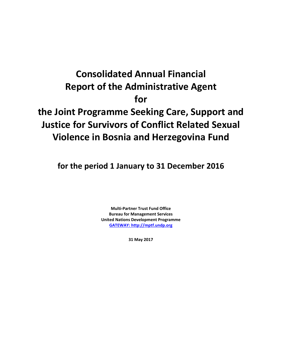# **Consolidated Annual Financial Report of the Administrative Agent for the Joint Programme Seeking Care, Support and Justice for Survivors of Conflict Related Sexual Violence in Bosnia and Herzegovina Fund**

**for the period 1 January to 31 December 2016**

**Multi-Partner Trust Fund Office Bureau for Management Services United Nations Development Programme [GATEWAY: http://mptf.undp.org](http://mptf.undp.org/)**

**31 May 2017**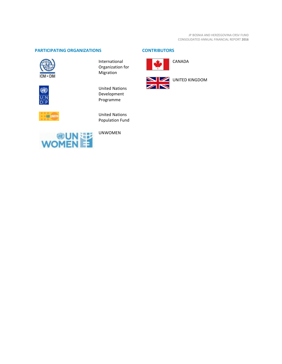# **PARTICIPATING ORGANIZATIONS CONTRIBUTORS**



0  $\frac{U|N}{D|P}$ 

**60 UNFP** 

International Organization for Migration

United Nations Development Programme

United Nations Population Fund



UNWOMEN



CANADA

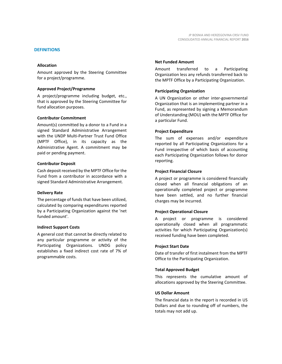#### **DEFINITIONS**

#### **Allocation**

Amount approved by the Steering Committee for a project/programme.

#### **Approved Project/Programme**

A project/programme including budget, etc., that is approved by the Steering Committee for fund allocation purposes.

#### **Contributor Commitment**

Amount(s) committed by a donor to a Fund in a signed Standard Administrative Arrangement with the UNDP Multi-Partner Trust Fund Office (MPTF Office), in its capacity as the Administrative Agent. A commitment may be paid or pending payment.

#### **Contributor Deposit**

Cash deposit received by the MPTF Office for the Fund from a contributor in accordance with a signed Standard Administrative Arrangement.

#### **Delivery Rate**

The percentage of funds that have been utilized, calculated by comparing expenditures reported by a Participating Organization against the 'net funded amount'.

#### **Indirect Support Costs**

A general cost that cannot be directly related to any particular programme or activity of the Participating Organizations. UNDG policy establishes a fixed indirect cost rate of 7% of programmable costs.

#### **Net Funded Amount**

Amount transferred to a Participating Organization less any refunds transferred back to the MPTF Office by a Participating Organization.

#### **Participating Organization**

A UN Organization or other inter-governmental Organization that is an implementing partner in a Fund, as represented by signing a Memorandum of Understanding (MOU) with the MPTF Office for a particular Fund.

#### **Project Expenditure**

The sum of expenses and/or expenditure reported by all Participating Organizations for a Fund irrespective of which basis of accounting each Participating Organization follows for donor reporting.

#### **Project Financial Closure**

A project or programme is considered financially closed when all financial obligations of an operationally completed project or programme have been settled, and no further financial charges may be incurred.

#### **Project Operational Closure**

A project or programme is considered operationally closed when all programmatic activities for which Participating Organization(s) received funding have been completed.

#### **Project Start Date**

Date of transfer of first instalment from the MPTF Office to the Participating Organization.

#### **Total Approved Budget**

This represents the cumulative amount of allocations approved by the Steering Committee.

### **US Dollar Amount**

The financial data in the report is recorded in US Dollars and due to rounding off of numbers, the totals may not add up.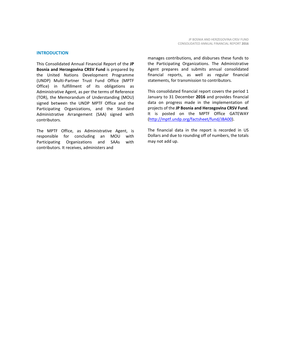#### **INTRODUCTION**

This Consolidated Annual Financial Report of the **JP Bosnia and Herzegovina CRSV Fund** is prepared by the United Nations Development Programme (UNDP) Multi-Partner Trust Fund Office (MPTF Office) in fulfillment of its obligations as Administrative Agent, as per the terms of Reference (TOR), the Memorandum of Understanding (MOU) signed between the UNDP MPTF Office and the Participating Organizations, and the Standard Administrative Arrangement (SAA) signed with contributors.

The MPTF Office, as Administrative Agent, is responsible for concluding an MOU with Participating Organizations and SAAs with contributors. It receives, administers and

manages contributions, and disburses these funds to the Participating Organizations. The Administrative Agent prepares and submits annual consolidated financial reports, as well as regular financial statements, for transmission to contributors.

This consolidated financial report covers the period 1 January to 31 December **2016** and provides financial data on progress made in the implementation of projects of the **JP Bosnia and Herzegovina CRSV Fund**. It is posted on the MPTF Office GATEWAY [\(http://mptf.undp.org/factsheet/fund/JBA00\)](http://mptf.undp.org/factsheet/fund/JBA00).

The financial data in the report is recorded in US Dollars and due to rounding off of numbers, the totals may not add up.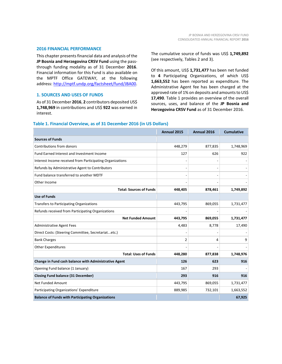#### **2016 FINANCIAL PERFORMANCE**

This chapter presents financial data and analysis of the **JP Bosnia and Herzegovina CRSV Fund** using the passthrough funding modality as of 31 December **2016**. Financial information for this Fund is also available on the MPTF Office GATEWAY, at the following address: [http://mptf.undp.org/factsheet/fund/JBA00.](http://mptf.undp.org/factsheet/fund/JBA00)

### **1. SOURCES AND USES OF FUNDS**

As of 31 December **2016**, **2** contributors deposited US\$ **1,748,969** in contributions and US\$ **922** was earned in interest.

The cumulative source of funds was US\$ **1,749,892** (see respectively, Tables 2 and 3).

Of this amount, US\$ **1,731,477** has been net funded to **4** Participating Organizations, of which US\$ **1,663,552** has been reported as expenditure. The Administrative Agent fee has been charged at the approved rate of 1% on deposits and amounts to US\$ **17,490**. Table 1 provides an overview of the overall sources, uses, and balance of the **JP Bosnia and Herzegovina CRSV Fund** as of 31 December 2016.

|                                                           | Annual 2015 | Annual 2016 | <b>Cumulative</b> |
|-----------------------------------------------------------|-------------|-------------|-------------------|
| <b>Sources of Funds</b>                                   |             |             |                   |
| Contributions from donors                                 | 448,279     | 877,835     | 1,748,969         |
| Fund Earned Interest and Investment Income                | 127         | 626         | 922               |
| Interest Income received from Participating Organizations |             |             |                   |
| Refunds by Administrative Agent to Contributors           |             |             |                   |
| Fund balance transferred to another MDTF                  |             |             |                   |
| Other Income                                              |             |             |                   |
| <b>Total: Sources of Funds</b>                            | 448,405     | 878,461     | 1,749,892         |
| <b>Use of Funds</b>                                       |             |             |                   |
| Transfers to Participating Organizations                  | 443,795     | 869,055     | 1,731,477         |
| Refunds received from Participating Organizations         |             |             |                   |
| <b>Net Funded Amount</b>                                  | 443,795     | 869,055     | 1,731,477         |
| <b>Administrative Agent Fees</b>                          | 4,483       | 8,778       | 17,490            |
| Direct Costs: (Steering Committee, Secretariatetc.)       |             |             |                   |
| <b>Bank Charges</b>                                       | 2           | 4           | 9                 |
| <b>Other Expenditures</b>                                 |             |             |                   |
| <b>Total: Uses of Funds</b>                               | 448,280     | 877,838     | 1,748,976         |
| Change in Fund cash balance with Administrative Agent     | 126         | 623         | 916               |
| Opening Fund balance (1 January)                          | 167         | 293         |                   |
| <b>Closing Fund balance (31 December)</b>                 | 293         | 916         | 916               |
| Net Funded Amount                                         | 443,795     | 869,055     | 1,731,477         |
| Participating Organizations' Expenditure                  | 889,985     | 732,101     | 1,663,552         |
| <b>Balance of Funds with Participating Organizations</b>  |             |             | 67,925            |

#### **Table 1. Financial Overview, as of 31 December 2016 (in US Dollars)**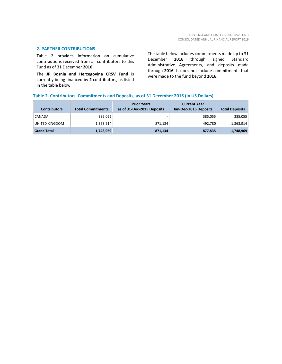# **2. PARTNER CONTRIBUTIONS**

Table 2 provides information on cumulative contributions received from all contributors to this Fund as of 31 December **2016**.

The **JP Bosnia and Herzegovina CRSV Fund** is currently being financed by **2** contributors, as listed in the table below.

The table below includes commitments made up to 31 December **2016** through signed Standard Administrative Agreements, and deposits made through **2016**. It does not include commitments that were made to the fund beyond **2016.**

# **Table 2. Contributors' Commitments and Deposits, as of 31 December 2016 (in US Dollars)**

| <b>Contributors</b> | <b>Total Commitments</b> | <b>Prior Years</b><br>as of 31-Dec-2015 Deposits | <b>Current Year</b><br>Jan-Dec-2016 Deposits | <b>Total Deposits</b> |
|---------------------|--------------------------|--------------------------------------------------|----------------------------------------------|-----------------------|
| CANADA              | 385.055                  | -                                                | 385,055                                      | 385,055               |
| UNITED KINGDOM      | 1,363,914                | 871,134                                          | 492,780                                      | 1,363,914             |
| <b>Grand Total</b>  | 1,748,969                | 871,134                                          | 877,835                                      | 1,748,969             |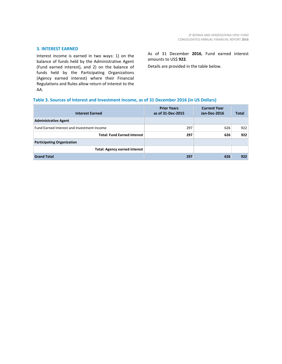#### **3. INTEREST EARNED**

Interest income is earned in two ways: 1) on the balance of funds held by the Administrative Agent (Fund earned interest), and 2) on the balance of funds held by the Participating Organizations (Agency earned interest) where their Financial Regulations and Rules allow return of interest to the AA.

As of 31 December **2016**, Fund earned interest amounts to US\$ **922**.

Details are provided in the table below.

#### **Table 3. Sources of Interest and Investment Income, as of 31 December 2016 (in US Dollars)**

| <b>Interest Earned</b>                     | <b>Prior Years</b><br>as of 31-Dec-2015 | <b>Current Year</b><br>Jan-Dec-2016 | <b>Total</b> |
|--------------------------------------------|-----------------------------------------|-------------------------------------|--------------|
| <b>Administrative Agent</b>                |                                         |                                     |              |
| Fund Earned Interest and Investment Income | 297                                     | 626                                 | 922          |
| <b>Total: Fund Earned Interest</b>         | 297                                     | 626                                 | 922          |
| <b>Participating Organization</b>          |                                         |                                     |              |
| <b>Total: Agency earned interest</b>       |                                         |                                     |              |
| <b>Grand Total</b>                         | 297                                     | 626                                 | 922          |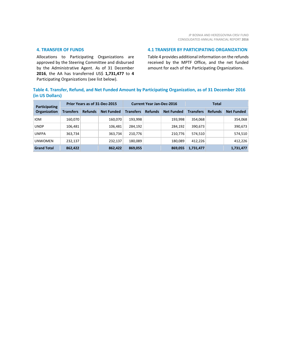### **4. TRANSFER OF FUNDS**

Allocations to Participating Organizations are approved by the Steering Committee and disbursed by the Administrative Agent. As of 31 December **2016**, the AA has transferred US\$ **1,731,477** to **4** Participating Organizations (see list below).

#### **4.1 TRANSFER BY PARTICIPATING ORGANIZATION**

Table 4 provides additional information on the refunds received by the MPTF Office, and the net funded amount for each of the Participating Organizations.

# **Table 4. Transfer, Refund, and Net Funded Amount by Participating Organization, as of 31 December 2016 (in US Dollars)**

| Participating<br>Organization | Prior Years as of 31-Dec-2015 |                |                   | <b>Current Year Jan-Dec-2016</b> |                |                   | <b>Total</b>     |                |                   |
|-------------------------------|-------------------------------|----------------|-------------------|----------------------------------|----------------|-------------------|------------------|----------------|-------------------|
|                               | <b>Transfers</b>              | <b>Refunds</b> | <b>Net Funded</b> | <b>Transfers</b>                 | <b>Refunds</b> | <b>Net Funded</b> | <b>Transfers</b> | <b>Refunds</b> | <b>Net Funded</b> |
| <b>IOM</b>                    | 160.070                       |                | 160.070           | 193,998                          |                | 193.998           | 354.068          |                | 354,068           |
| <b>UNDP</b>                   | 106,481                       |                | 106,481           | 284,192                          |                | 284.192           | 390,673          |                | 390,673           |
| <b>UNFPA</b>                  | 363,734                       |                | 363,734           | 210,776                          |                | 210,776           | 574.510          |                | 574,510           |
| <b>UNWOMEN</b>                | 232,137                       |                | 232,137           | 180,089                          |                | 180.089           | 412.226          |                | 412,226           |
| <b>Grand Total</b>            | 862,422                       |                | 862,422           | 869,055                          |                | 869,055           | 1,731,477        |                | 1,731,477         |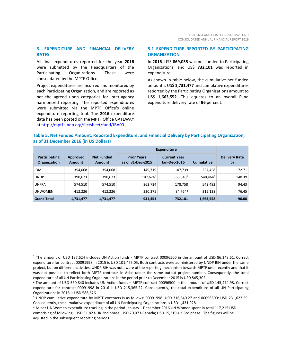# **5. EXPENDITURE AND FINANCIAL DELIVERY RATES**

All final expenditures reported for the year **2016** were submitted by the Headquarters of the Participating Organizations. These were consolidated by the MPTF Office.

Project expenditures are incurred and monitored by each Participating Organization, and are reported as per the agreed upon categories for inter-agency harmonized reporting. The reported expenditures were submitted via the MPTF Office's online expenditure reporting tool. The **2016** expenditure data has been posted on the MPTF Office GATEWAY at [http://mptf.undp.org/factsheet/fund/JBA00.](http://mptf.undp.org/factsheet/fund/JBA00) 

 $\overline{a}$ 

## **5.1 EXPENDITURE REPORTED BY PARTICIPATING ORGANIZATION**

In **2016**, US\$ **869,055** was net funded to Participating Organizations, and US\$ **732,101** was reported in expenditure.

As shown in table below, the cumulative net funded amount is US\$ **1,731,477** and cumulative expenditures reported by the Participating Organizations amount to US\$ **1,663,552**. This equates to an overall Fund expenditure delivery rate of **96** percent.

# **Table 5. Net Funded Amount, Reported Expenditure, and Financial Delivery by Participating Organization, as of 31 December 2016 (in US Dollars)**

|                                      |                           |                                    | <b>Expenditure</b>                      |                                     |                      |                           |
|--------------------------------------|---------------------------|------------------------------------|-----------------------------------------|-------------------------------------|----------------------|---------------------------|
| Participating<br><b>Organization</b> | Approved<br><b>Amount</b> | <b>Net Funded</b><br><b>Amount</b> | <b>Prior Years</b><br>as of 31-Dec-2015 | <b>Current Year</b><br>Jan-Dec-2016 | <b>Cumulative</b>    | <b>Delivery Rate</b><br>% |
| <b>IOM</b>                           | 354,068                   | 354,068                            | 149,719                                 | 107,739                             | 257,458              | 72.71                     |
| <b>UNDP</b>                          | 390,673                   | 390,673                            | 187,6241                                | 360,840 <sup>2</sup>                | 548,464 <sup>3</sup> | 140.39                    |
| <b>UNFPA</b>                         | 574,510                   | 574.510                            | 363,734                                 | 178,758                             | 542.492              | 94.43                     |
| <b>UNWOMEN</b>                       | 412,226                   | 412,226                            | 230,375                                 | 84.7644                             | 315,138              | 76.45                     |
| <b>Grand Total</b>                   | 1,731,477                 | 1,731,477                          | 931,451                                 | 732,101                             | 1,663,552            | 96.08                     |

<span id="page-8-0"></span><sup>1</sup> The amount of USD 187,624 includes UN Action funds - MPTF contract 00096500 in the amount of USD 86,148.61. Correct expenditure for contract 00091998 in 2015 is USD 101,475.05. Both contracts were administered by UNDP BiH under the same project, but on different activities. UNDP BiH was not aware of the reporting mechanism towards MPTF until recently and that it was not possible to reflect both MPTF contracts in Atlas under the same output project number. Consequently, the total expenditure of all UN Participating Organizations in the period prior to December 2015 is USD 845,302.

<span id="page-8-1"></span><sup>2</sup> The amount of USD 360,840 includes UN Action funds – MPTF contract 00096500 in the amount of USD 145,474.98. Correct expenditure for contract 00091998 in 2016 is USD 215,365.22. Consequently, the total expenditure of all UN Participating Organizations in 2016 is USD 586,626.

<span id="page-8-2"></span><sup>3</sup> UNDP cumulative expenditure by MPTF contracts is as follows: 00091998: USD 316,840.27 and 00096500: USD 231,623.59. Consequently, the cumulative expenditure of all UN Participating Organizations is USD 1,431,928.

<span id="page-8-3"></span><sup>4</sup> As per UN Women expenditure tracking in the period January – December 2016 UN Women spent in total 117,215 USD comprising of following: USD 31,823-UK 2nd phase; USD 70,073-Canada; USD 15,319-UK 3rd phase. The figures will be adjusted in the subsequent reporting periods.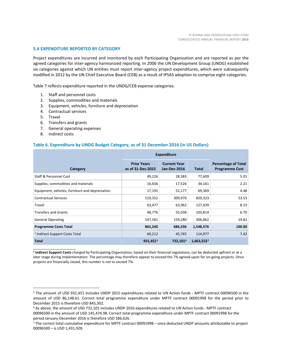#### **5.4 EXPENDITURE REPORTED BY CATEGORY**

Project expenditures are incurred and monitored by each Participating Organization and are reported as per the agreed categories for inter-agency harmonized reporting. In 2006 the UN Development Group (UNDG) established six categories against which UN entities must report inter-agency project expenditures, which were subsequently modified in 2012 by the UN Chief Executive Board (CEB) as a result of IPSAS adoption to comprise eight categories.

Table 7 reflects expenditure reported in the UNDG/CEB expense categories.

- 1. Staff and personnel costs
- 2. Supplies, commodities and materials
- 3. Equipment, vehicles, furniture and depreciation
- 4. Contractual services
- 5. Travel
- 6. Transfers and grants
- 7. General operating expenses
- 8. Indirect costs

\_\_\_\_\_\_\_\_\_\_\_\_\_\_\_\_\_\_\_\_\_\_

 $\overline{a}$ 

#### **Table 6. Expenditure by UNDG Budget Category, as of 31 December 2016 (in US Dollars)**

|                                                 | <b>Expenditure</b>                      |                                            |            |                                                     |
|-------------------------------------------------|-----------------------------------------|--------------------------------------------|------------|-----------------------------------------------------|
| Category                                        | <b>Prior Years</b><br>as of 31-Dec-2015 | <b>Current Year</b><br><b>Jan-Dec-2016</b> | Total      | <b>Percentage of Total</b><br><b>Programme Cost</b> |
| Staff & Personnel Cost                          | 49,226                                  | 28,383                                     | 77,609     | 5.01                                                |
| Supplies, commodities and materials             | 16,636                                  | 17,526                                     | 34,161     | 2.21                                                |
| Equipment, vehicles, furniture and depreciation | 17,192                                  | 52,177                                     | 69,369     | 4.48                                                |
| <b>Contractual Services</b>                     | 519,352                                 | 309,970                                    | 829,323    | 53.55                                               |
| Travel                                          | 63,477                                  | 63,962                                     | 127,439    | 8.23                                                |
| <b>Transfers and Grants</b>                     | 48,776                                  | 55,038                                     | 103,814    | 6.70                                                |
| <b>General Operating</b>                        | 147,581                                 | 159,280                                    | 306,862    | 19.82                                               |
| <b>Programme Costs Total</b>                    | 862,240                                 | 686,336                                    | 1,548,576  | 100.00                                              |
| <sup>1</sup> Indirect Support Costs Total       | 69,212                                  | 45,765                                     | 114,977    | 7.42                                                |
| <b>Total</b>                                    | 931,4515                                | 732,1016                                   | 1,663,5527 |                                                     |

**<sup>1</sup> Indirect Support Costs** charged by Participating Organization, based on their financial regulations, can be deducted upfront or at a later stage during implementation. The percentage may therefore appear to exceed the 7% agreed-upon for on-going projects. Once projects are financially closed, this number is not to exceed 7%.

<span id="page-9-0"></span><sup>5</sup> The amount of USD 931,451 includes UNDP 2015 expenditures related to UN Action funds - MPTF contract 00096500 in the amount of USD 86,148.61. Correct total programme expenditure under MPTF contract 00091998 for the period prior to December 2015 is therefore USD 845,302.

<span id="page-9-1"></span><sup>6</sup> As above, the amount of USD 732,101 includes UNDP 2016 expenditures related to UN Action funds - MPTF contract 00096500 in the amount of USD 145,474.98. Correct total programme expenditure under MPTF contract 00091998 for the period January-December 2016 is therefore USD 586,626.

<span id="page-9-2"></span><sup>7</sup> The correct total cumulative expenditure for MPTF contract 00091998 – once deducted UNDP amounts attributable to project 00096500 – is USD 1,431,928.